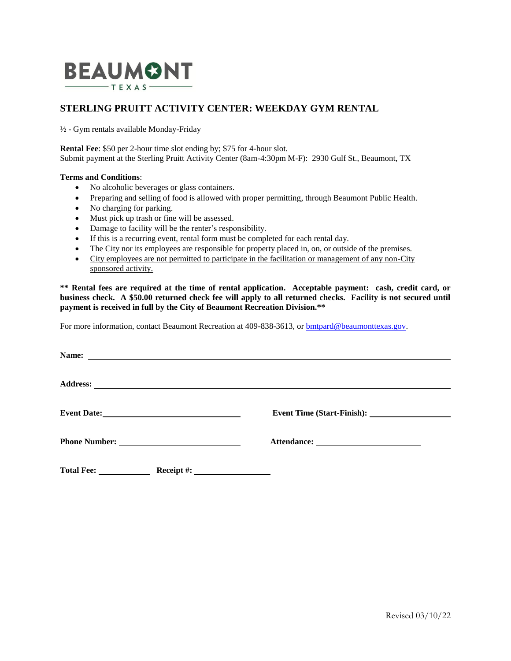

## **STERLING PRUITT ACTIVITY CENTER: WEEKDAY GYM RENTAL**

½ - Gym rentals available Monday-Friday

**Rental Fee**: \$50 per 2-hour time slot ending by; \$75 for 4-hour slot. Submit payment at the Sterling Pruitt Activity Center (8am-4:30pm M-F): 2930 Gulf St., Beaumont, TX

## **Terms and Conditions**:

- No alcoholic beverages or glass containers.
- Preparing and selling of food is allowed with proper permitting, through Beaumont Public Health.
- No charging for parking.
- Must pick up trash or fine will be assessed.
- Damage to facility will be the renter's responsibility.
- If this is a recurring event, rental form must be completed for each rental day.
- The City nor its employees are responsible for property placed in, on, or outside of the premises.
- City employees are not permitted to participate in the facilitation or management of any non-City sponsored activity.

**\*\* Rental fees are required at the time of rental application. Acceptable payment: cash, credit card, or business check. A \$50.00 returned check fee will apply to all returned checks. Facility is not secured until payment is received in full by the City of Beaumont Recreation Division.\*\***

For more information, contact Beaumont Recreation at 409-838-3613, or **bmtpard@beaumonttexas.gov**.

| <b>Name:</b>      |               | <u> 1989 - Johann Stoff, amerikansk politiker (d. 1989)</u> |  |
|-------------------|---------------|-------------------------------------------------------------|--|
|                   |               |                                                             |  |
|                   |               |                                                             |  |
|                   |               |                                                             |  |
| <b>Total Fee:</b> | Receipt $#$ : |                                                             |  |